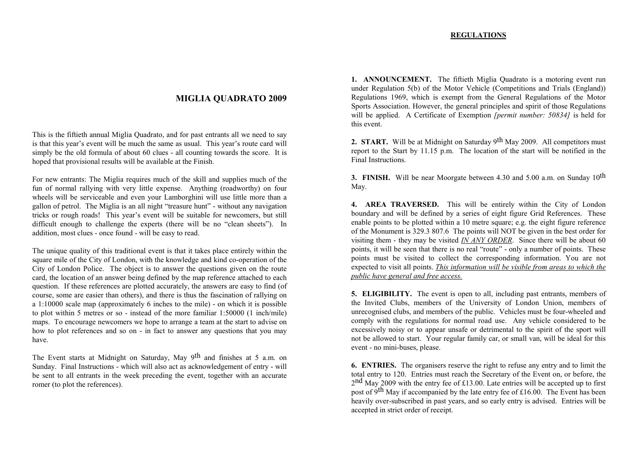# **REGULATIONS**

# **MIGLIA QUADRATO 2009**

This is the fiftieth annual Miglia Quadrato, and for pas<sup>t</sup> entrants all we need to say is that this year's event will be much the same as usual. This year's route card will simply be the old formula of about 60 clues - all counting towards the score. It is hoped that provisional results will be available at the Finish.

For new entrants: The Miglia requires much of the skill and supplies much of the fun of normal rallying with very little expense. Anything (roadworthy) on four wheels will be serviceable and even your Lamborghini will use little more than <sup>a</sup> gallon of petrol. The Miglia is an all night "treasure hunt" - without any navigation tricks or rough roads! This year's event will be suitable for newcomers, but still difficult enough to challenge the experts (there will be no "clean sheets"). In addition, most clues - once found - will be easy to read.

The unique quality of this traditional event is that it takes place entirely within the square mile of the City of London, with the knowledge and kind co-operation of the City of London Police. The object is to answer the questions given on the route card, the location of an answer being defined by the map reference attached to each question. If these references are plotted accurately, the answers are easy to find (of course, some are easier than others), and there is thus the fascination of rallying on a 1:10000 scale map (approximately 6 inches to the mile) - on which it is possible to plot within 5 metres or so - instead of the more familiar 1:50000 (1 inch/mile) maps. To encourage newcomers we hope to arrange <sup>a</sup> team at the start to advise on how to plot references and so on - in fact to answer any questions that you may have.

The Event starts at Midnight on Saturday, May 9<sup>th</sup> and finishes at 5 a.m. on Sunday. Final Instructions - which will also act as acknowledgement of entry - will be sent to all entrants in the week preceding the event, together with an accurate romer (to plot the references).

**1. ANNOUNCEMENT.** The fiftieth Miglia Quadrato is <sup>a</sup> motoring event run under Regulation 5(b) of the Motor Vehicle (Competitions and Trials (England)) Regulations 1969, which is exemp<sup>t</sup> from the General Regulations of the Motor Sports Association. However, the general principles and spirit of those Regulations will be applied. A Certificate of Exemption *[permit number: 50834]* is held for this event.

**2. START.** Will be at Midnight on Saturday <sup>9</sup>th May 2009. All competitors must repor<sup>t</sup> to the Start by 11.15 p.m. The location of the start will be notified in the Final Instructions.

**3. FINISH.** Will be near Moorgate between 4.30 and 5.00 a.m. on Sunday <sup>10</sup>th May.

**4. AREA TRAVERSED.** This will be entirely within the City of London boundary and will be defined by <sup>a</sup> series of eight figure Grid References. These enable points to be plotted within <sup>a</sup> 10 metre square; e.g. the eight figure reference of the Monument is 329.3 807.6 The points will NOT be given in the best order for visiting them - they may be visited *IN ANY ORDER*. Since there will be about 60 points, it will be seen that there is no real "route" - only <sup>a</sup> number of points. These points must be visited to collect the corresponding information. You are not expected to visit all points. *This information will be visible from areas to which the public have general and free access.*

**5. ELIGIBILITY.** The event is open to all, including pas<sup>t</sup> entrants, members of the Invited Clubs, members of the University of London Union, members of unrecognised clubs, and members of the public. Vehicles must be four-wheeled and comply with the regulations for normal road use. Any vehicle considered to be excessively noisy or to appear unsafe or detrimental to the spirit of the spor<sup>t</sup> will not be allowed to start. Your regular family car, or small van, will be ideal for this event - no mini-buses, please.

**6. ENTRIES.** The organisers reserve the right to refuse any entry and to limit the total entry to 120. Entries must reach the Secretary of the Event on, or before, the  $2<sup>nd</sup>$  May 2009 with the entry fee of £13.00. Late entries will be accepted up to first post of 9<sup>th</sup> May if accompanied by the late entry fee of £16.00. The Event has been heavily over-subscribed in pas<sup>t</sup> years, and so early entry is advised. Entries will be accepted in strict order of receipt.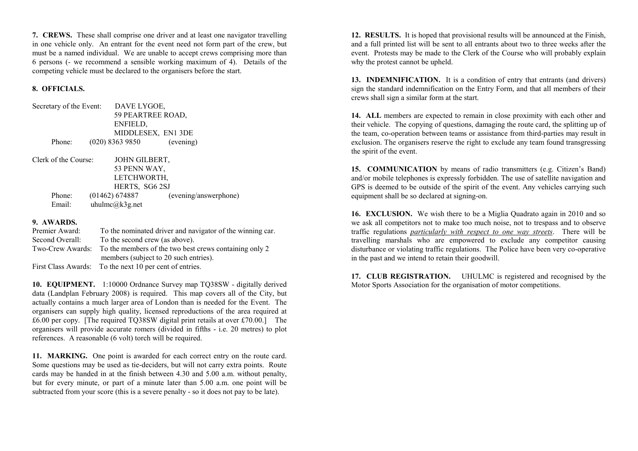**7. CREWS.** These shall comprise one driver and at least one navigator travelling in one vehicle only. An entrant for the event need not form par<sup>t</sup> of the crew, but must be <sup>a</sup> named individual. We are unable to accep<sup>t</sup> crews comprising more than 6 persons (- we recommend <sup>a</sup> sensible working maximum of 4). Details of the competing vehicle must be declared to the organisers before the start.

# **8. OFFICIALS.**

Secretary of the Event: DAVE LYGOE, 59 PEARTREE ROAD, ENFIELD, MIDDLESEX, EN1 3DE Phone:(020) 8363 9850 (evening)

Clerk of the Course: JOHN**JOHN GILBERT,** 53 PENN WAY, LETCHWORTH, HERTS, SG6 2SJ Phone: (01462) 674887 (evening/answerphone) Email:uhulmc@k3g.net

# **9. AWARDS.**

| Premier Award:   | To the nominated driver and navigator of the winning car. |
|------------------|-----------------------------------------------------------|
| Second Overall:  | To the second crew (as above).                            |
| Two-Crew Awards: | To the members of the two best crews containing only 2    |
|                  | members (subject to 20 such entries).                     |
|                  | First Class Awards: To the next 10 per cent of entries.   |

**10. EQUIPMENT.** 1:10000 Ordnance Survey map TQ38SW - digitally derived data (Landplan February 2008) is required. This map covers all of the City, but actually contains <sup>a</sup> much larger area of London than is needed for the Event. The organisers can supply high quality, licensed reproductions of the area required at £6.00 per copy. [The required TQ38SW digital print retails at over £70.00.] The organisers will provide accurate romers (divided in fifths - i.e. 20 metres) to plot references. A reasonable (6 volt) torch will be required.

**11. MARKING.** One point is awarded for each correct entry on the route card. Some questions may be used as tie-deciders, but will not carry extra points. Route cards may be handed in at the finish between 4.30 and 5.00 a.m. without penalty, but for every minute, or par<sup>t</sup> of <sup>a</sup> minute later than 5.00 a.m. one point will be subtracted from your score (this is <sup>a</sup> severe penalty - so it does not pay to be late).

**12. RESULTS.** It is hoped that provisional results will be announced at the Finish, and <sup>a</sup> full printed list will be sent to all entrants about two to three weeks after the event. Protests may be made to the Clerk of the Course who will probably explain why the protest cannot be upheld.

**13. INDEMNIFICATION.** It is a condition of entry that entrants (and drivers) sign the standard indemnification on the Entry Form, and that all members of their crews shall sign <sup>a</sup> similar form at the start.

**14. ALL** members are expected to remain in close proximity with each other and their vehicle. The copying of questions, damaging the route card, the splitting up of the team, co-operation between teams or assistance from third-parties may result in exclusion. The organisers reserve the right to exclude any team found transgressing the spirit of the event.

**15. COMMUNICATION** by means of radio transmitters (e.g. Citizen's Band) and/or mobile telephones is expressly forbidden. The use of satellite navigation and GPS is deemed to be outside of the spirit of the event. Any vehicles carrying such equipment shall be so declared at signing-on.

**16. EXCLUSION.** We wish there to be <sup>a</sup> Miglia Quadrato again in 2010 and so we ask all competitors not to make too much noise, not to trespass and to observe traffic regulations *particularly with respec<sup>t</sup> to one way streets*. There will be travelling marshals who are empowered to exclude any competitor causing disturbance or violating traffic regulations. The Police have been very co-operative in the pas<sup>t</sup> and we intend to retain their goodwill.

**17. CLUB REGISTRATION.** UHULMC is registered and recognised by the Motor Sports Association for the organisation of motor competitions.